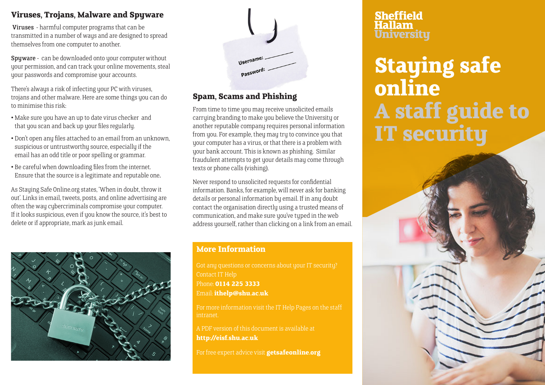#### **Viruses, Trojans, Malware and Spyware**

 Viruses - harmful computer programs that can be transmitted in a number of ways and are designed to spread themselves from one computer to another.

Spyware - can be downloaded onto your computer without your permission, and can track your online movements, steal your passwords and compromise your accounts.

There's always a risk of infecting your PC with viruses, trojans and other malware. Here are some things you can do to minimise this risk:

- Make sure you have an up to date virus checker and that you scan and back up your files regularly.
- Don't open any files attached to an email from an unknown, suspicious or untrustworthy source, especially if the email has an odd title or poor spelling or grammar.
- Be careful when downloading files from the internet. Ensure that the source is a legitimate and reputable one.

As Staying Safe Online.org states, 'When in doubt, throw it out'. Links in email, tweets, posts, and online advertising are often the way cybercriminals compromise your computer. If it looks suspicious, even if you know the source, it's best to delete or if appropriate, mark as junk email.





# **Spam, Scams and Phishing**

From time to time you may receive unsolicited emails carruing branding to make you believe the University or another reputable company requires personal information from you. For example, they may try to convince you that your computer has a virus, or that there is a problem with your bank account. This is known as phishing. Similar fraudulent attempts to get your details may come through texts or phone calls (vishing).

Never respond to unsolicited requests for confidential information. Banks, for example, will never ask for banking details or personal information by email. If in any doubt contact the organisation directly using a trusted means of communication, and make sure you've typed in the web address yourself, rather than clicking on a link from an email.

#### **More Information**

Got any questions or concerns about your IT security? Phone: **0114 225 3333** Email: **ithelp@shu.ac.uk**

intranet.

A PDF version of this document is available at **http://eisf.shu.ac.uk**

For free expert advice visit **getsafeonline.org**

#### **Sheffield Hallam Universitu**

**Staying safe online A staff guide to IT security**